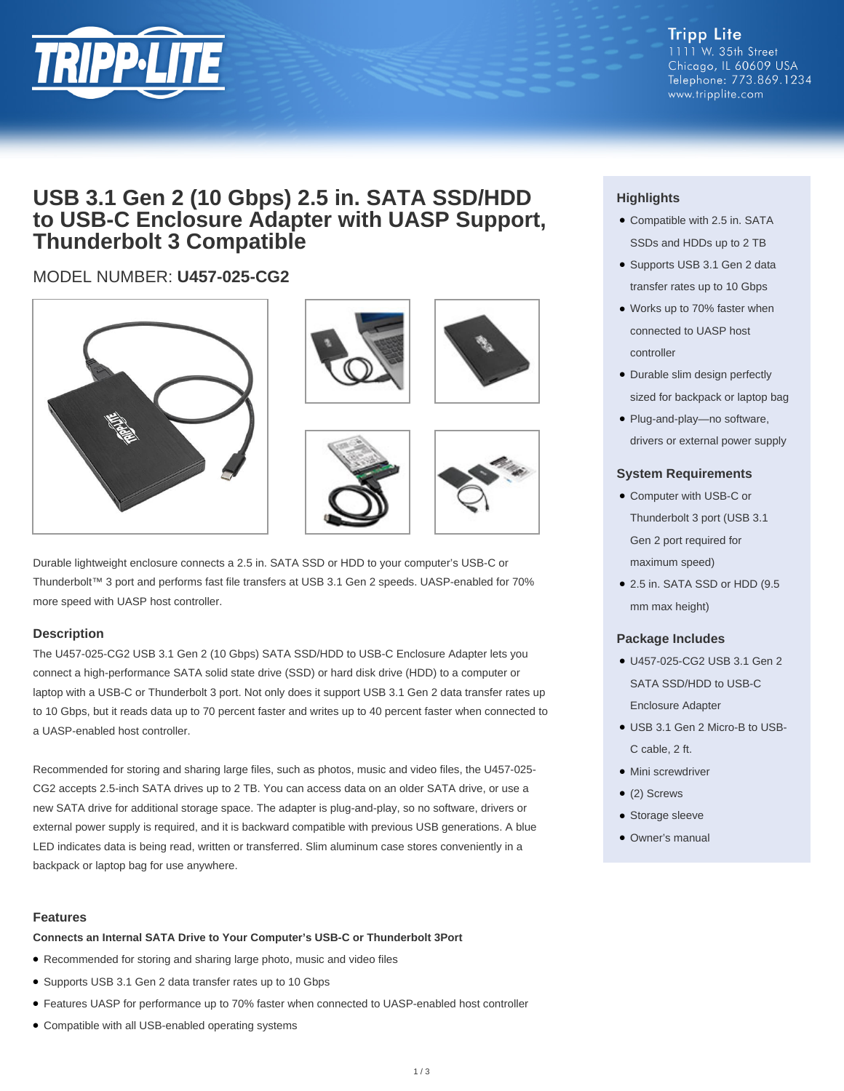

**Tripp Lite** 1111 W. 35th Street Chicago, IL 60609 USA Telephone: 773.869.1234 www.tripplite.com

# **USB 3.1 Gen 2 (10 Gbps) 2.5 in. SATA SSD/HDD to USB-C Enclosure Adapter with UASP Support, Thunderbolt 3 Compatible**

## MODEL NUMBER: **U457-025-CG2**











Durable lightweight enclosure connects a 2.5 in. SATA SSD or HDD to your computer's USB-C or Thunderbolt™ 3 port and performs fast file transfers at USB 3.1 Gen 2 speeds. UASP-enabled for 70% more speed with UASP host controller.

#### **Description**

The U457-025-CG2 USB 3.1 Gen 2 (10 Gbps) SATA SSD/HDD to USB-C Enclosure Adapter lets you connect a high-performance SATA solid state drive (SSD) or hard disk drive (HDD) to a computer or laptop with a USB-C or Thunderbolt 3 port. Not only does it support USB 3.1 Gen 2 data transfer rates up to 10 Gbps, but it reads data up to 70 percent faster and writes up to 40 percent faster when connected to a UASP-enabled host controller.

Recommended for storing and sharing large files, such as photos, music and video files, the U457-025- CG2 accepts 2.5-inch SATA drives up to 2 TB. You can access data on an older SATA drive, or use a new SATA drive for additional storage space. The adapter is plug-and-play, so no software, drivers or external power supply is required, and it is backward compatible with previous USB generations. A blue LED indicates data is being read, written or transferred. Slim aluminum case stores conveniently in a backpack or laptop bag for use anywhere.

#### **Features**

**Connects an Internal SATA Drive to Your Computer's USB-C or Thunderbolt 3Port**

- Recommended for storing and sharing large photo, music and video files
- Supports USB 3.1 Gen 2 data transfer rates up to 10 Gbps
- Features UASP for performance up to 70% faster when connected to UASP-enabled host controller
- Compatible with all USB-enabled operating systems

### **Highlights**

- Compatible with 2.5 in. SATA SSDs and HDDs up to 2 TB
- Supports USB 3.1 Gen 2 data transfer rates up to 10 Gbps
- Works up to 70% faster when connected to UASP host controller
- Durable slim design perfectly sized for backpack or laptop bag
- Plug-and-play—no software, drivers or external power supply

#### **System Requirements**

- Computer with USB-C or Thunderbolt 3 port (USB 3.1 Gen 2 port required for maximum speed)
- 2.5 in. SATA SSD or HDD (9.5 mm max height)

#### **Package Includes**

- U457-025-CG2 USB 3.1 Gen 2 SATA SSD/HDD to USB-C Enclosure Adapter
- USB 3.1 Gen 2 Micro-B to USB-● C cable, 2 ft.
- Mini screwdriver
- (2) Screws
- Storage sleeve
- Owner's manual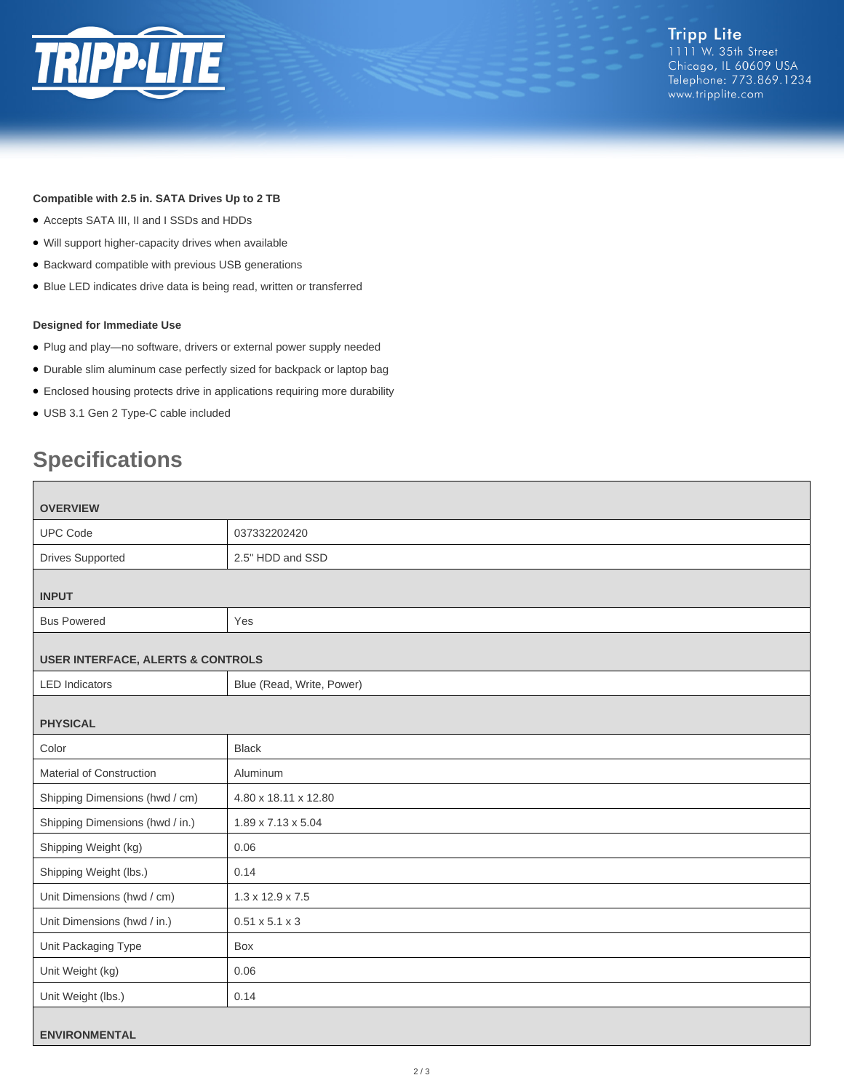

**Tripp Lite** 1111 W. 35th Street Chicago, IL 60609 USA Telephone: 773.869.1234 www.tripplite.com

#### **Compatible with 2.5 in. SATA Drives Up to 2 TB**

- Accepts SATA III, II and I SSDs and HDDs
- Will support higher-capacity drives when available
- Backward compatible with previous USB generations
- Blue LED indicates drive data is being read, written or transferred

#### **Designed for Immediate Use**

- Plug and play—no software, drivers or external power supply needed
- Durable slim aluminum case perfectly sized for backpack or laptop bag
- Enclosed housing protects drive in applications requiring more durability
- USB 3.1 Gen 2 Type-C cable included

# **Specifications**

| <b>OVERVIEW</b>                              |                              |
|----------------------------------------------|------------------------------|
| <b>UPC Code</b>                              | 037332202420                 |
| <b>Drives Supported</b>                      | 2.5" HDD and SSD             |
| <b>INPUT</b>                                 |                              |
| <b>Bus Powered</b>                           | Yes                          |
| <b>USER INTERFACE, ALERTS &amp; CONTROLS</b> |                              |
| <b>LED</b> Indicators                        | Blue (Read, Write, Power)    |
| <b>PHYSICAL</b>                              |                              |
| Color                                        | <b>Black</b>                 |
| Material of Construction                     | Aluminum                     |
| Shipping Dimensions (hwd / cm)               | 4.80 x 18.11 x 12.80         |
| Shipping Dimensions (hwd / in.)              | 1.89 x 7.13 x 5.04           |
| Shipping Weight (kg)                         | 0.06                         |
| Shipping Weight (lbs.)                       | 0.14                         |
| Unit Dimensions (hwd / cm)                   | $1.3 \times 12.9 \times 7.5$ |
| Unit Dimensions (hwd / in.)                  | $0.51 \times 5.1 \times 3$   |
| Unit Packaging Type                          | Box                          |
| Unit Weight (kg)                             | 0.06                         |
| Unit Weight (lbs.)                           | 0.14                         |
| <b>ENVIRONMENTAL</b>                         |                              |